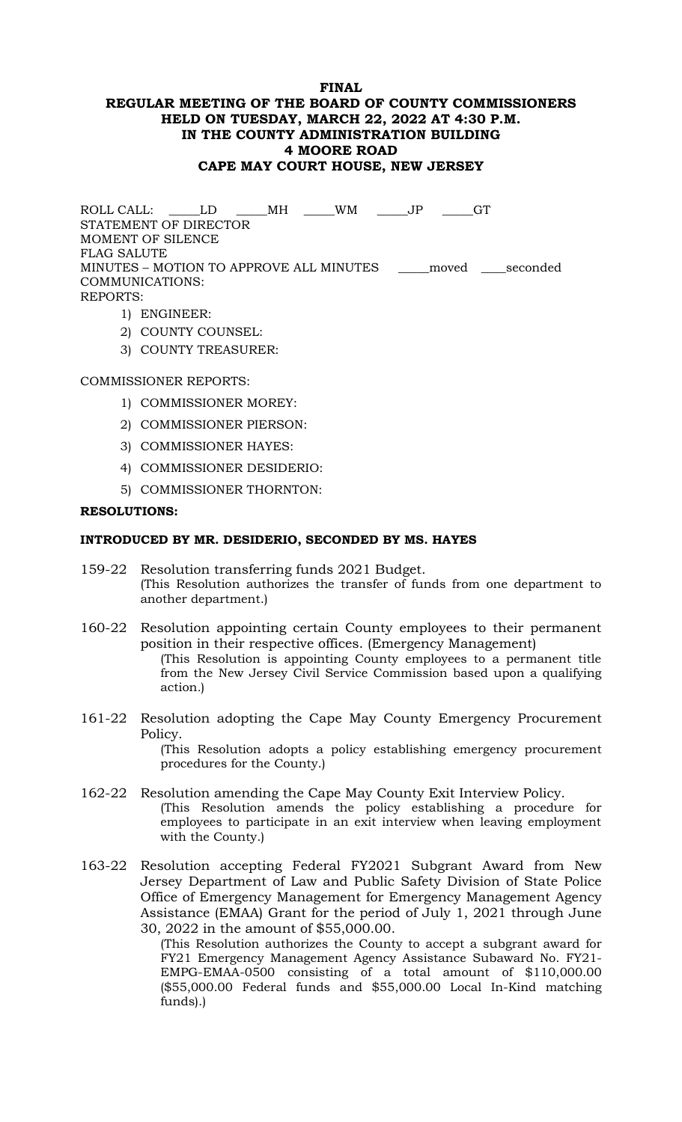### **FINAL REGULAR MEETING OF THE BOARD OF COUNTY COMMISSIONERS HELD ON TUESDAY, MARCH 22, 2022 AT 4:30 P.M. IN THE COUNTY ADMINISTRATION BUILDING 4 MOORE ROAD CAPE MAY COURT HOUSE, NEW JERSEY**

ROLL CALL: \_\_\_\_\_LD \_\_\_\_\_MH \_\_\_\_\_WM \_\_\_\_\_JP \_\_\_\_\_GT STATEMENT OF DIRECTOR MOMENT OF SILENCE FLAG SALUTE MINUTES – MOTION TO APPROVE ALL MINUTES \_\_\_\_\_moved \_\_\_\_seconded COMMUNICATIONS: REPORTS:

- 1) ENGINEER:
- 2) COUNTY COUNSEL:
- 3) COUNTY TREASURER:

### COMMISSIONER REPORTS:

- 1) COMMISSIONER MOREY:
- 2) COMMISSIONER PIERSON:
- 3) COMMISSIONER HAYES:
- 4) COMMISSIONER DESIDERIO:
- 5) COMMISSIONER THORNTON:

#### **RESOLUTIONS:**

#### **INTRODUCED BY MR. DESIDERIO, SECONDED BY MS. HAYES**

- 159-22 Resolution transferring funds 2021 Budget. (This Resolution authorizes the transfer of funds from one department to another department.)
- 160-22 Resolution appointing certain County employees to their permanent position in their respective offices. (Emergency Management) (This Resolution is appointing County employees to a permanent title from the New Jersey Civil Service Commission based upon a qualifying action*.*)
- 161-22 Resolution adopting the Cape May County Emergency Procurement Policy.

(This Resolution adopts a policy establishing emergency procurement procedures for the County.)

- 162-22 Resolution amending the Cape May County Exit Interview Policy. (This Resolution amends the policy establishing a procedure for employees to participate in an exit interview when leaving employment with the County.)
- 163-22 Resolution accepting Federal FY2021 Subgrant Award from New Jersey Department of Law and Public Safety Division of State Police Office of Emergency Management for Emergency Management Agency Assistance (EMAA) Grant for the period of July 1, 2021 through June 30, 2022 in the amount of \$55,000.00.

(This Resolution authorizes the County to accept a subgrant award for FY21 Emergency Management Agency Assistance Subaward No. FY21- EMPG-EMAA-0500 consisting of a total amount of \$110,000.00 (\$55,000.00 Federal funds and \$55,000.00 Local In-Kind matching funds).)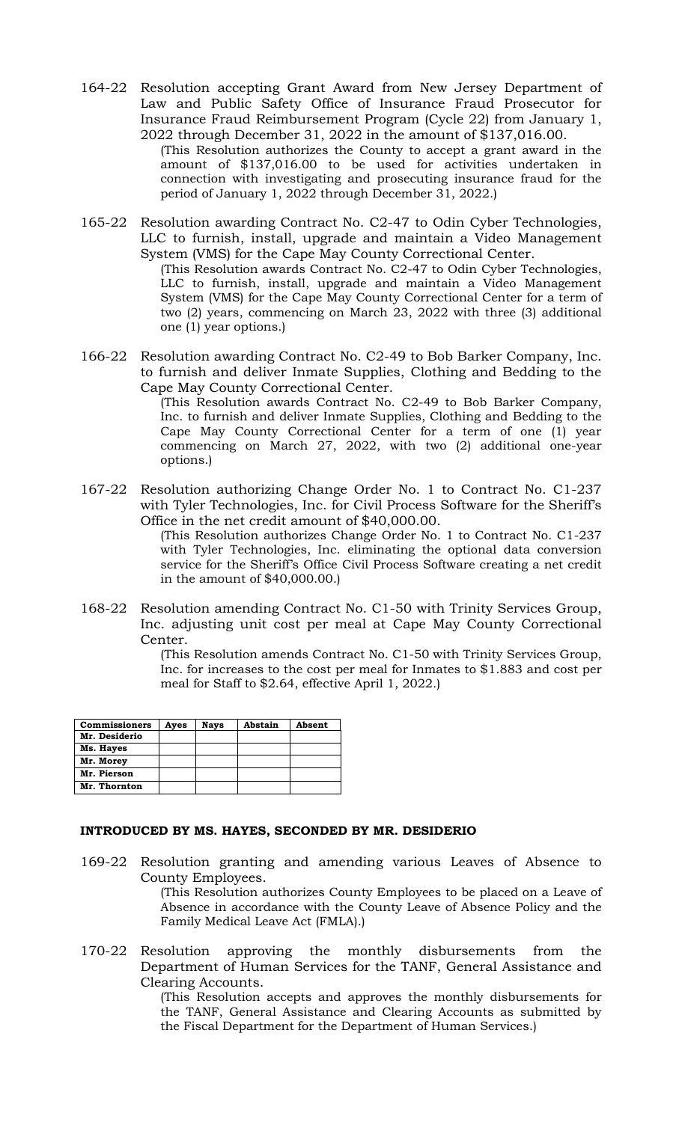164-22 Resolution accepting Grant Award from New Jersey Department of Law and Public Safety Office of Insurance Fraud Prosecutor for Insurance Fraud Reimbursement Program (Cycle 22) from January 1, 2022 through December 31, 2022 in the amount of \$137,016.00. (This Resolution authorizes the County to accept a grant award in the

amount of \$137,016.00 to be used for activities undertaken in connection with investigating and prosecuting insurance fraud for the period of January 1, 2022 through December 31, 2022.)

165-22 Resolution awarding Contract No. C2-47 to Odin Cyber Technologies, LLC to furnish, install, upgrade and maintain a Video Management System (VMS) for the Cape May County Correctional Center.

(This Resolution awards Contract No. C2-47 to Odin Cyber Technologies, LLC to furnish, install, upgrade and maintain a Video Management System (VMS) for the Cape May County Correctional Center for a term of two (2) years, commencing on March 23, 2022 with three (3) additional one (1) year options.)

166-22 Resolution awarding Contract No. C2-49 to Bob Barker Company, Inc. to furnish and deliver Inmate Supplies, Clothing and Bedding to the Cape May County Correctional Center.

(This Resolution awards Contract No. C2-49 to Bob Barker Company, Inc. to furnish and deliver Inmate Supplies, Clothing and Bedding to the Cape May County Correctional Center for a term of one (1) year commencing on March 27, 2022, with two (2) additional one-year options.)

167-22 Resolution authorizing Change Order No. 1 to Contract No. C1-237 with Tyler Technologies, Inc. for Civil Process Software for the Sheriff's Office in the net credit amount of \$40,000.00.

> (This Resolution authorizes Change Order No. 1 to Contract No. C1-237 with Tyler Technologies, Inc. eliminating the optional data conversion service for the Sheriff's Office Civil Process Software creating a net credit in the amount of \$40,000.00.)

168-22 Resolution amending Contract No. C1-50 with Trinity Services Group, Inc. adjusting unit cost per meal at Cape May County Correctional Center.

(This Resolution amends Contract No. C1-50 with Trinity Services Group, Inc. for increases to the cost per meal for Inmates to \$1.883 and cost per meal for Staff to \$2.64, effective April 1, 2022.)

| <b>Commissioners</b> | Ayes | <b>Nays</b> | Abstain | Absent |
|----------------------|------|-------------|---------|--------|
| Mr. Desiderio        |      |             |         |        |
| Ms. Hayes            |      |             |         |        |
| Mr. Morey            |      |             |         |        |
| Mr. Pierson          |      |             |         |        |
| Mr. Thornton         |      |             |         |        |

## **INTRODUCED BY MS. HAYES, SECONDED BY MR. DESIDERIO**

169-22 Resolution granting and amending various Leaves of Absence to County Employees.

(This Resolution authorizes County Employees to be placed on a Leave of Absence in accordance with the County Leave of Absence Policy and the Family Medical Leave Act (FMLA).)

170-22 Resolution approving the monthly disbursements from the Department of Human Services for the TANF, General Assistance and Clearing Accounts.

(This Resolution accepts and approves the monthly disbursements for the TANF, General Assistance and Clearing Accounts as submitted by the Fiscal Department for the Department of Human Services.)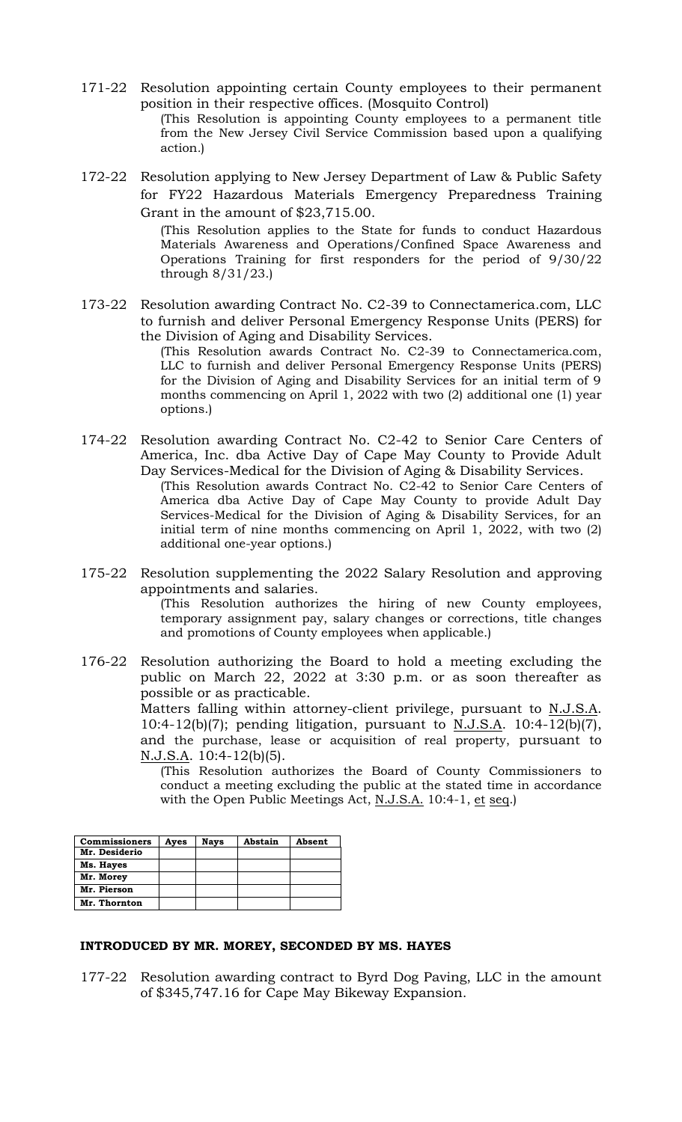- 171-22 Resolution appointing certain County employees to their permanent position in their respective offices. (Mosquito Control) (This Resolution is appointing County employees to a permanent title from the New Jersey Civil Service Commission based upon a qualifying action*.*)
- 172-22 Resolution applying to New Jersey Department of Law & Public Safety for FY22 Hazardous Materials Emergency Preparedness Training Grant in the amount of \$23,715.00.

(This Resolution applies to the State for funds to conduct Hazardous Materials Awareness and Operations/Confined Space Awareness and Operations Training for first responders for the period of 9/30/22 through 8/31/23.)

173-22 Resolution awarding Contract No. C2-39 to Connectamerica.com, LLC to furnish and deliver Personal Emergency Response Units (PERS) for the Division of Aging and Disability Services.

(This Resolution awards Contract No. C2-39 to Connectamerica.com, LLC to furnish and deliver Personal Emergency Response Units (PERS) for the Division of Aging and Disability Services for an initial term of 9 months commencing on April 1, 2022 with two (2) additional one (1) year options.)

174-22 Resolution awarding Contract No. C2-42 to Senior Care Centers of America, Inc. dba Active Day of Cape May County to Provide Adult Day Services-Medical for the Division of Aging & Disability Services. (This Resolution awards Contract No. C2-42 to Senior Care Centers of

America dba Active Day of Cape May County to provide Adult Day Services-Medical for the Division of Aging & Disability Services, for an initial term of nine months commencing on April 1, 2022, with two (2) additional one-year options.)

175-22 Resolution supplementing the 2022 Salary Resolution and approving appointments and salaries.

(This Resolution authorizes the hiring of new County employees, temporary assignment pay, salary changes or corrections, title changes and promotions of County employees when applicable.)

176-22 Resolution authorizing the Board to hold a meeting excluding the public on March 22, 2022 at 3:30 p.m. or as soon thereafter as possible or as practicable.

> Matters falling within attorney-client privilege, pursuant to N.J.S.A. 10:4-12(b)(7); pending litigation, pursuant to N.J.S.A. 10:4-12(b)(7), and the purchase, lease or acquisition of real property, pursuant to N.J.S.A. 10:4-12(b)(5).

(This Resolution authorizes the Board of County Commissioners to conduct a meeting excluding the public at the stated time in accordance with the Open Public Meetings Act, N.J.S.A. 10:4-1, et seq.)

| <b>Commissioners</b> | Ayes | <b>Nays</b> | Abstain | Absent |
|----------------------|------|-------------|---------|--------|
| Mr. Desiderio        |      |             |         |        |
| Ms. Hayes            |      |             |         |        |
| Mr. Morey            |      |             |         |        |
| Mr. Pierson          |      |             |         |        |
| Mr. Thornton         |      |             |         |        |

# **INTRODUCED BY MR. MOREY, SECONDED BY MS. HAYES**

177-22 Resolution awarding contract to Byrd Dog Paving, LLC in the amount of \$345,747.16 for Cape May Bikeway Expansion.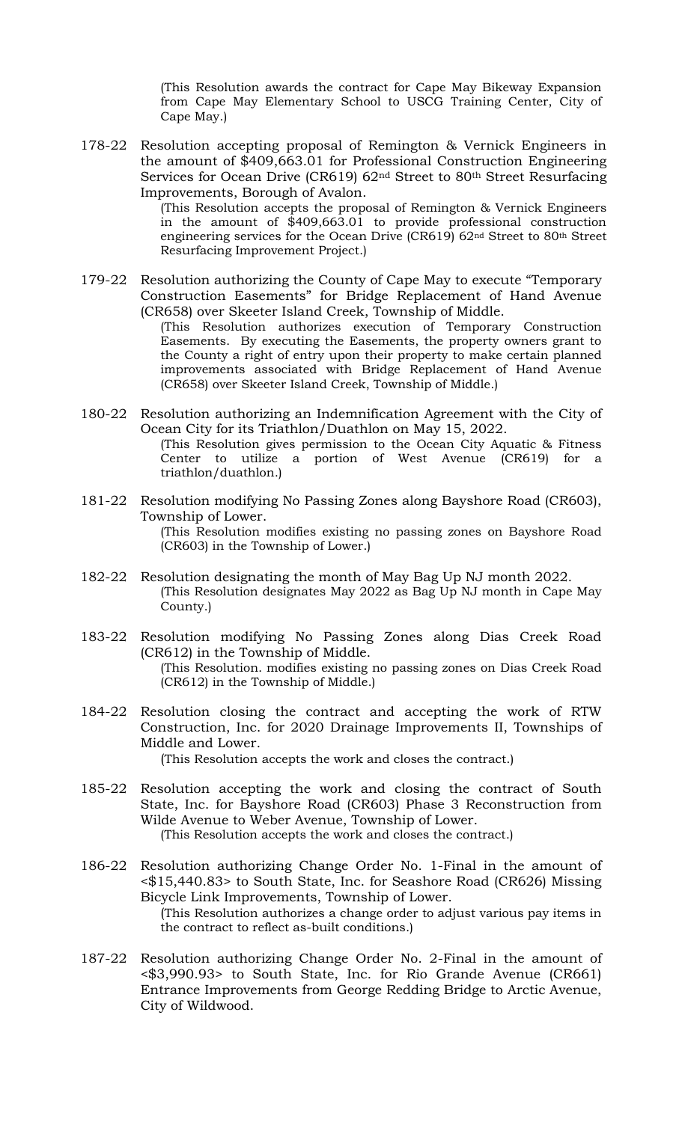(This Resolution awards the contract for Cape May Bikeway Expansion from Cape May Elementary School to USCG Training Center, City of Cape May.)

178-22 Resolution accepting proposal of Remington & Vernick Engineers in the amount of \$409,663.01 for Professional Construction Engineering Services for Ocean Drive (CR619) 62nd Street to 80th Street Resurfacing Improvements, Borough of Avalon.

> (This Resolution accepts the proposal of Remington & Vernick Engineers in the amount of \$409,663.01 to provide professional construction engineering services for the Ocean Drive (CR619) 62nd Street to 80th Street Resurfacing Improvement Project.)

179-22 Resolution authorizing the County of Cape May to execute "Temporary Construction Easements" for Bridge Replacement of Hand Avenue (CR658) over Skeeter Island Creek, Township of Middle.

(This Resolution authorizes execution of Temporary Construction Easements. By executing the Easements, the property owners grant to the County a right of entry upon their property to make certain planned improvements associated with Bridge Replacement of Hand Avenue (CR658) over Skeeter Island Creek, Township of Middle.)

- 180-22 Resolution authorizing an Indemnification Agreement with the City of Ocean City for its Triathlon/Duathlon on May 15, 2022. (This Resolution gives permission to the Ocean City Aquatic & Fitness Center to utilize a portion of West Avenue (CR619) for a triathlon/duathlon.)
- 181-22 Resolution modifying No Passing Zones along Bayshore Road (CR603), Township of Lower. (This Resolution modifies existing no passing zones on Bayshore Road (CR603) in the Township of Lower.)
- 182-22 Resolution designating the month of May Bag Up NJ month 2022. (This Resolution designates May 2022 as Bag Up NJ month in Cape May County.)
- 183-22 Resolution modifying No Passing Zones along Dias Creek Road (CR612) in the Township of Middle. (This Resolution. modifies existing no passing zones on Dias Creek Road (CR612) in the Township of Middle.)
- 184-22 Resolution closing the contract and accepting the work of RTW Construction, Inc. for 2020 Drainage Improvements II, Townships of Middle and Lower. (This Resolution accepts the work and closes the contract.)
- 185-22 Resolution accepting the work and closing the contract of South State, Inc. for Bayshore Road (CR603) Phase 3 Reconstruction from Wilde Avenue to Weber Avenue, Township of Lower. (This Resolution accepts the work and closes the contract.)
- 186-22 Resolution authorizing Change Order No. 1-Final in the amount of <\$15,440.83> to South State, Inc. for Seashore Road (CR626) Missing Bicycle Link Improvements, Township of Lower. (This Resolution authorizes a change order to adjust various pay items in the contract to reflect as-built conditions.)
- 187-22 Resolution authorizing Change Order No. 2-Final in the amount of <\$3,990.93> to South State, Inc. for Rio Grande Avenue (CR661) Entrance Improvements from George Redding Bridge to Arctic Avenue, City of Wildwood.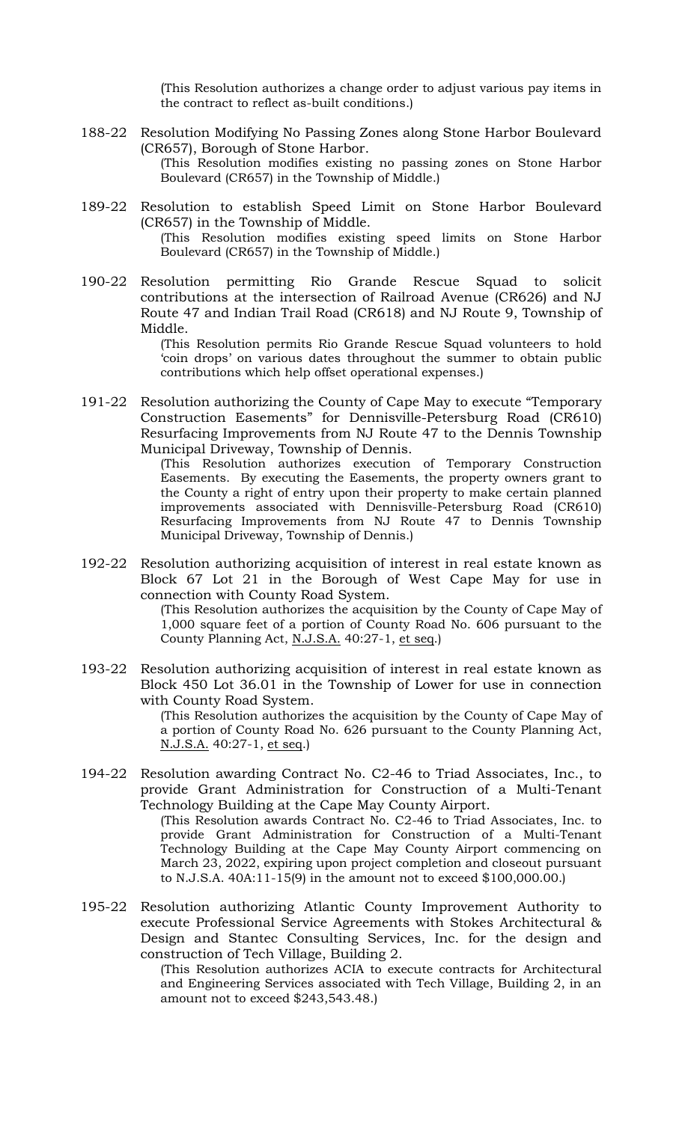(This Resolution authorizes a change order to adjust various pay items in the contract to reflect as-built conditions.)

- 188-22 Resolution Modifying No Passing Zones along Stone Harbor Boulevard (CR657), Borough of Stone Harbor. (This Resolution modifies existing no passing zones on Stone Harbor Boulevard (CR657) in the Township of Middle.)
- 189-22 Resolution to establish Speed Limit on Stone Harbor Boulevard (CR657) in the Township of Middle. (This Resolution modifies existing speed limits on Stone Harbor Boulevard (CR657) in the Township of Middle.)
- 190-22 Resolution permitting Rio Grande Rescue Squad to solicit contributions at the intersection of Railroad Avenue (CR626) and NJ Route 47 and Indian Trail Road (CR618) and NJ Route 9, Township of Middle.

(This Resolution permits Rio Grande Rescue Squad volunteers to hold 'coin drops' on various dates throughout the summer to obtain public contributions which help offset operational expenses.)

191-22 Resolution authorizing the County of Cape May to execute "Temporary Construction Easements" for Dennisville-Petersburg Road (CR610) Resurfacing Improvements from NJ Route 47 to the Dennis Township Municipal Driveway, Township of Dennis.

> (This Resolution authorizes execution of Temporary Construction Easements. By executing the Easements, the property owners grant to the County a right of entry upon their property to make certain planned improvements associated with Dennisville-Petersburg Road (CR610) Resurfacing Improvements from NJ Route 47 to Dennis Township Municipal Driveway, Township of Dennis.)

192-22 Resolution authorizing acquisition of interest in real estate known as Block 67 Lot 21 in the Borough of West Cape May for use in connection with County Road System.

> (This Resolution authorizes the acquisition by the County of Cape May of 1,000 square feet of a portion of County Road No. 606 pursuant to the County Planning Act, N.J.S.A. 40:27-1, et seq.)

193-22 Resolution authorizing acquisition of interest in real estate known as Block 450 Lot 36.01 in the Township of Lower for use in connection with County Road System.

> (This Resolution authorizes the acquisition by the County of Cape May of a portion of County Road No. 626 pursuant to the County Planning Act, N.J.S.A. 40:27-1, et seq.)

194-22 Resolution awarding Contract No. C2-46 to Triad Associates, Inc., to provide Grant Administration for Construction of a Multi-Tenant Technology Building at the Cape May County Airport.

(This Resolution awards Contract No. C2-46 to Triad Associates, Inc. to provide Grant Administration for Construction of a Multi-Tenant Technology Building at the Cape May County Airport commencing on March 23, 2022, expiring upon project completion and closeout pursuant to N.J.S.A. 40A:11-15(9) in the amount not to exceed \$100,000.00.)

195-22 Resolution authorizing Atlantic County Improvement Authority to execute Professional Service Agreements with Stokes Architectural & Design and Stantec Consulting Services, Inc. for the design and construction of Tech Village, Building 2.

(This Resolution authorizes ACIA to execute contracts for Architectural and Engineering Services associated with Tech Village, Building 2, in an amount not to exceed \$243,543.48.)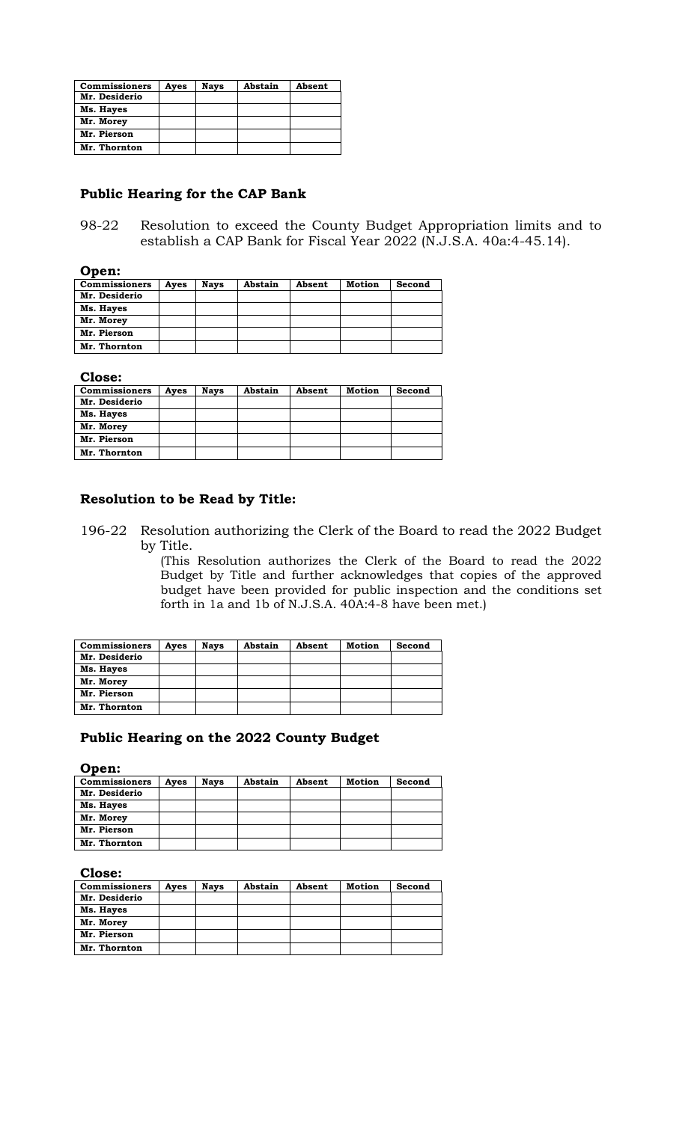| <b>Commissioners</b> | Ayes | <b>Nays</b> | Abstain | Absent |
|----------------------|------|-------------|---------|--------|
| Mr. Desiderio        |      |             |         |        |
| Ms. Hayes            |      |             |         |        |
| Mr. Morey            |      |             |         |        |
| Mr. Pierson          |      |             |         |        |
| Mr. Thornton         |      |             |         |        |

### **Public Hearing for the CAP Bank**

98-22 Resolution to exceed the County Budget Appropriation limits and to establish a CAP Bank for Fiscal Year 2022 (N.J.S.A. 40a:4-45.14).

## **Open:**

| <b>Commissioners</b> | Ayes | <b>Nays</b> | Abstain | Absent | <b>Motion</b> | Second |
|----------------------|------|-------------|---------|--------|---------------|--------|
| Mr. Desiderio        |      |             |         |        |               |        |
| Ms. Hayes            |      |             |         |        |               |        |
| Mr. Morey            |      |             |         |        |               |        |
| Mr. Pierson          |      |             |         |        |               |        |
| Mr. Thornton         |      |             |         |        |               |        |

**Close:**

| <b>Commissioners</b> | Ayes | <b>Nays</b> | Abstain | Absent | Motion | Second |
|----------------------|------|-------------|---------|--------|--------|--------|
| Mr. Desiderio        |      |             |         |        |        |        |
| Ms. Hayes            |      |             |         |        |        |        |
| Mr. Morey            |      |             |         |        |        |        |
| Mr. Pierson          |      |             |         |        |        |        |
| Mr. Thornton         |      |             |         |        |        |        |

## **Resolution to be Read by Title:**

196-22 Resolution authorizing the Clerk of the Board to read the 2022 Budget by Title.

> (This Resolution authorizes the Clerk of the Board to read the 2022 Budget by Title and further acknowledges that copies of the approved budget have been provided for public inspection and the conditions set forth in 1a and 1b of N.J.S.A. 40A:4-8 have been met.)

| <b>Commissioners</b> | Ayes | <b>Nays</b> | Abstain | Absent | Motion | Second |
|----------------------|------|-------------|---------|--------|--------|--------|
| Mr. Desiderio        |      |             |         |        |        |        |
| Ms. Hayes            |      |             |         |        |        |        |
| Mr. Morey            |      |             |         |        |        |        |
| Mr. Pierson          |      |             |         |        |        |        |
| Mr. Thornton         |      |             |         |        |        |        |

# **Public Hearing on the 2022 County Budget**

**Open:**

| <b>Commissioners</b> | Ayes | <b>Nays</b> | Abstain | Absent | <b>Motion</b> | Second |
|----------------------|------|-------------|---------|--------|---------------|--------|
| Mr. Desiderio        |      |             |         |        |               |        |
| Ms. Hayes            |      |             |         |        |               |        |
| Mr. Morey            |      |             |         |        |               |        |
| Mr. Pierson          |      |             |         |        |               |        |
| Mr. Thornton         |      |             |         |        |               |        |
|                      |      |             |         |        |               |        |

#### **Close:**

| <b>Commissioners</b> | Ayes | <b>Nays</b> | Abstain | Absent | Motion | Second |
|----------------------|------|-------------|---------|--------|--------|--------|
| Mr. Desiderio        |      |             |         |        |        |        |
| Ms. Hayes            |      |             |         |        |        |        |
| Mr. Morey            |      |             |         |        |        |        |
| Mr. Pierson          |      |             |         |        |        |        |
| Mr. Thornton         |      |             |         |        |        |        |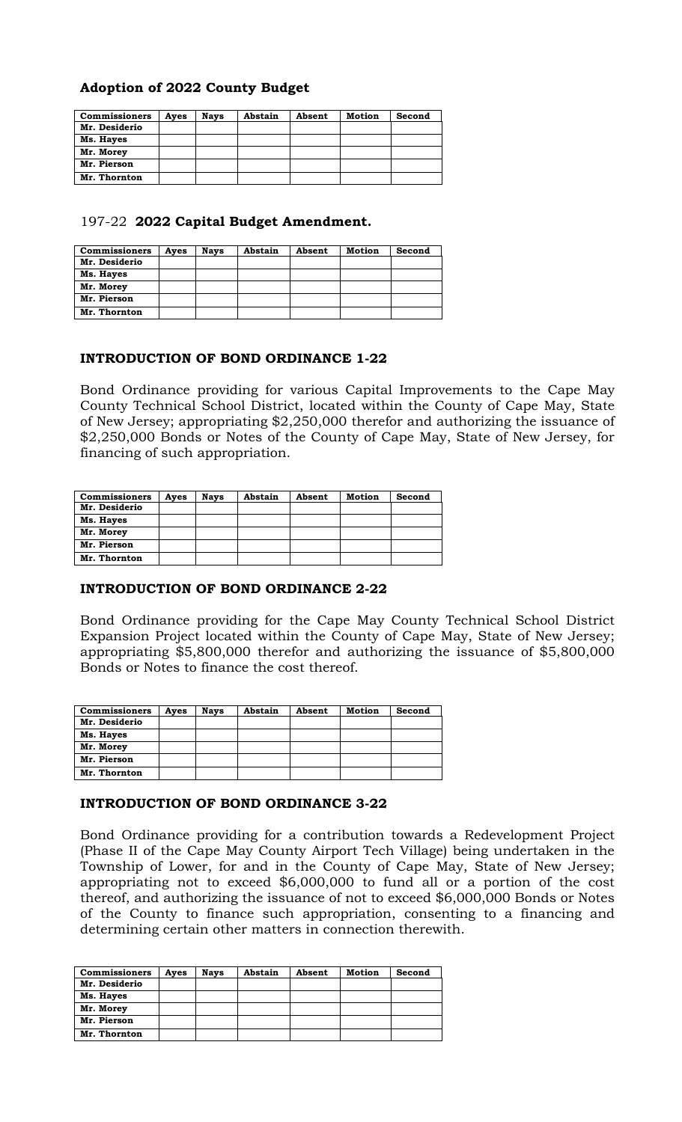# **Adoption of 2022 County Budget**

| <b>Commissioners</b> | Ayes | <b>Nays</b> | Abstain | Absent | Motion | Second |
|----------------------|------|-------------|---------|--------|--------|--------|
| Mr. Desiderio        |      |             |         |        |        |        |
| Ms. Hayes            |      |             |         |        |        |        |
| Mr. Morey            |      |             |         |        |        |        |
| Mr. Pierson          |      |             |         |        |        |        |
| Mr. Thornton         |      |             |         |        |        |        |

## 197-22 **2022 Capital Budget Amendment.**

| <b>Commissioners</b> | Ayes | <b>Nays</b> | Abstain | Absent | Motion | Second |
|----------------------|------|-------------|---------|--------|--------|--------|
| Mr. Desiderio        |      |             |         |        |        |        |
| Ms. Hayes            |      |             |         |        |        |        |
| Mr. Morey            |      |             |         |        |        |        |
| Mr. Pierson          |      |             |         |        |        |        |
| Mr. Thornton         |      |             |         |        |        |        |

# **INTRODUCTION OF BOND ORDINANCE 1-22**

Bond Ordinance providing for various Capital Improvements to the Cape May County Technical School District, located within the County of Cape May, State of New Jersey; appropriating \$2,250,000 therefor and authorizing the issuance of \$2,250,000 Bonds or Notes of the County of Cape May, State of New Jersey, for financing of such appropriation.

| <b>Commissioners</b> | Ayes | <b>Nays</b> | Abstain | Absent | Motion | Second |
|----------------------|------|-------------|---------|--------|--------|--------|
| Mr. Desiderio        |      |             |         |        |        |        |
| Ms. Hayes            |      |             |         |        |        |        |
| Mr. Morey            |      |             |         |        |        |        |
| Mr. Pierson          |      |             |         |        |        |        |
| Mr. Thornton         |      |             |         |        |        |        |

## **INTRODUCTION OF BOND ORDINANCE 2-22**

Bond Ordinance providing for the Cape May County Technical School District Expansion Project located within the County of Cape May, State of New Jersey; appropriating \$5,800,000 therefor and authorizing the issuance of \$5,800,000 Bonds or Notes to finance the cost thereof.

| <b>Commissioners</b> | Ayes | <b>Nays</b> | Abstain | Absent | Motion | Second |
|----------------------|------|-------------|---------|--------|--------|--------|
| Mr. Desiderio        |      |             |         |        |        |        |
| Ms. Hayes            |      |             |         |        |        |        |
| Mr. Morey            |      |             |         |        |        |        |
| Mr. Pierson          |      |             |         |        |        |        |
| Mr. Thornton         |      |             |         |        |        |        |

## **INTRODUCTION OF BOND ORDINANCE 3-22**

Bond Ordinance providing for a contribution towards a Redevelopment Project (Phase II of the Cape May County Airport Tech Village) being undertaken in the Township of Lower, for and in the County of Cape May, State of New Jersey; appropriating not to exceed \$6,000,000 to fund all or a portion of the cost thereof, and authorizing the issuance of not to exceed \$6,000,000 Bonds or Notes of the County to finance such appropriation, consenting to a financing and determining certain other matters in connection therewith.

| <b>Commissioners</b> | Ayes | <b>Nays</b> | Abstain | Absent | Motion | Second |
|----------------------|------|-------------|---------|--------|--------|--------|
| Mr. Desiderio        |      |             |         |        |        |        |
| Ms. Hayes            |      |             |         |        |        |        |
| Mr. Morey            |      |             |         |        |        |        |
| Mr. Pierson          |      |             |         |        |        |        |
| Mr. Thornton         |      |             |         |        |        |        |